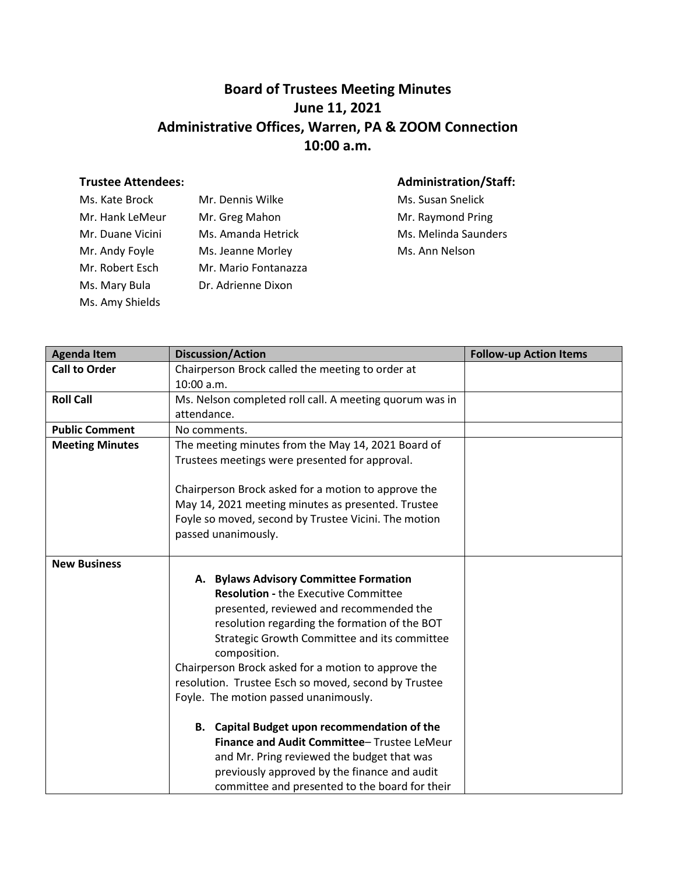## **Board of Trustees Meeting Minutes June 11, 2021 Administrative Offices, Warren, PA & ZOOM Connection 10:00 a.m.**

## **Trustee Attendees: Administration/Staff:**

| Ms. Kate Brock   | Mr. Dennis Wilke     |
|------------------|----------------------|
| Mr. Hank LeMeur  | Mr. Greg Mahon       |
| Mr. Duane Vicini | Ms. Amanda Hetrick   |
| Mr. Andy Foyle   | Ms. Jeanne Morley    |
| Mr. Robert Esch  | Mr. Mario Fontanazza |
| Ms. Mary Bula    | Dr. Adrienne Dixon   |
| Ms. Amy Shields  |                      |

Ms. Susan Snelick Mr. Raymond Pring k Mr. Melinda Saunders Ms. Ann Nelson

| <b>Agenda Item</b>     | <b>Discussion/Action</b>                                                                                                                                                                                                                                                                                                                                                                                                                                                                                                                                                                              | <b>Follow-up Action Items</b> |
|------------------------|-------------------------------------------------------------------------------------------------------------------------------------------------------------------------------------------------------------------------------------------------------------------------------------------------------------------------------------------------------------------------------------------------------------------------------------------------------------------------------------------------------------------------------------------------------------------------------------------------------|-------------------------------|
| <b>Call to Order</b>   | Chairperson Brock called the meeting to order at<br>10:00 a.m.                                                                                                                                                                                                                                                                                                                                                                                                                                                                                                                                        |                               |
| <b>Roll Call</b>       | Ms. Nelson completed roll call. A meeting quorum was in<br>attendance.                                                                                                                                                                                                                                                                                                                                                                                                                                                                                                                                |                               |
| <b>Public Comment</b>  | No comments.                                                                                                                                                                                                                                                                                                                                                                                                                                                                                                                                                                                          |                               |
| <b>Meeting Minutes</b> | The meeting minutes from the May 14, 2021 Board of<br>Trustees meetings were presented for approval.                                                                                                                                                                                                                                                                                                                                                                                                                                                                                                  |                               |
|                        | Chairperson Brock asked for a motion to approve the<br>May 14, 2021 meeting minutes as presented. Trustee<br>Foyle so moved, second by Trustee Vicini. The motion<br>passed unanimously.                                                                                                                                                                                                                                                                                                                                                                                                              |                               |
| <b>New Business</b>    | A. Bylaws Advisory Committee Formation<br><b>Resolution - the Executive Committee</b><br>presented, reviewed and recommended the<br>resolution regarding the formation of the BOT<br>Strategic Growth Committee and its committee<br>composition.<br>Chairperson Brock asked for a motion to approve the<br>resolution. Trustee Esch so moved, second by Trustee<br>Foyle. The motion passed unanimously.<br>B. Capital Budget upon recommendation of the<br>Finance and Audit Committee-Trustee LeMeur<br>and Mr. Pring reviewed the budget that was<br>previously approved by the finance and audit |                               |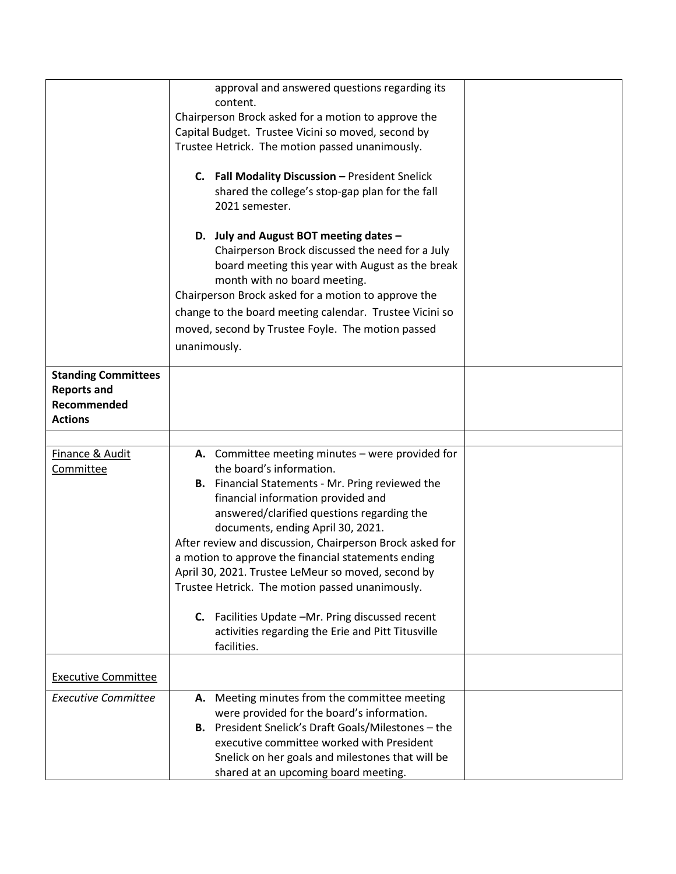|                            | approval and answered questions regarding its              |  |
|----------------------------|------------------------------------------------------------|--|
|                            | content.                                                   |  |
|                            | Chairperson Brock asked for a motion to approve the        |  |
|                            | Capital Budget. Trustee Vicini so moved, second by         |  |
|                            | Trustee Hetrick. The motion passed unanimously.            |  |
|                            | C. Fall Modality Discussion - President Snelick            |  |
|                            | shared the college's stop-gap plan for the fall            |  |
|                            | 2021 semester.                                             |  |
|                            | D. July and August BOT meeting dates -                     |  |
|                            | Chairperson Brock discussed the need for a July            |  |
|                            | board meeting this year with August as the break           |  |
|                            | month with no board meeting.                               |  |
|                            | Chairperson Brock asked for a motion to approve the        |  |
|                            | change to the board meeting calendar. Trustee Vicini so    |  |
|                            | moved, second by Trustee Foyle. The motion passed          |  |
|                            | unanimously.                                               |  |
|                            |                                                            |  |
| <b>Standing Committees</b> |                                                            |  |
| <b>Reports and</b>         |                                                            |  |
| Recommended                |                                                            |  |
| <b>Actions</b>             |                                                            |  |
|                            |                                                            |  |
| Finance & Audit            | A. Committee meeting minutes - were provided for           |  |
| Committee                  | the board's information.                                   |  |
|                            | <b>B.</b> Financial Statements - Mr. Pring reviewed the    |  |
|                            | financial information provided and                         |  |
|                            | answered/clarified questions regarding the                 |  |
|                            | documents, ending April 30, 2021.                          |  |
|                            | After review and discussion, Chairperson Brock asked for   |  |
|                            | a motion to approve the financial statements ending        |  |
|                            | April 30, 2021. Trustee LeMeur so moved, second by         |  |
|                            | Trustee Hetrick. The motion passed unanimously.            |  |
|                            | C. Facilities Update -Mr. Pring discussed recent           |  |
|                            | activities regarding the Erie and Pitt Titusville          |  |
|                            | facilities.                                                |  |
|                            |                                                            |  |
| <b>Executive Committee</b> |                                                            |  |
| <b>Executive Committee</b> | A. Meeting minutes from the committee meeting              |  |
|                            | were provided for the board's information.                 |  |
|                            | <b>B.</b> President Snelick's Draft Goals/Milestones - the |  |
|                            | executive committee worked with President                  |  |
|                            | Snelick on her goals and milestones that will be           |  |
|                            | shared at an upcoming board meeting.                       |  |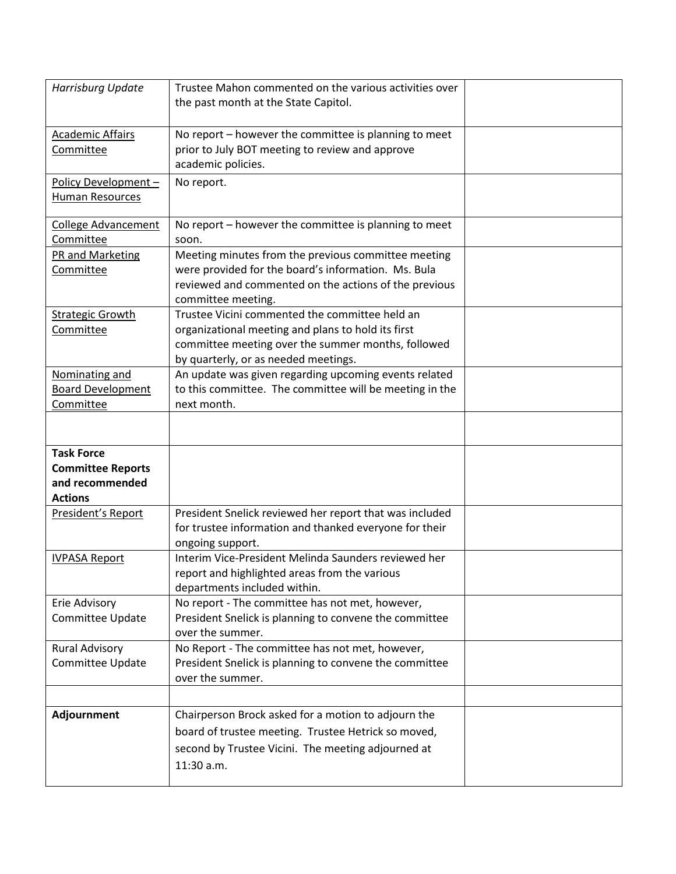| Harrisburg Update                                                                  | Trustee Mahon commented on the various activities over<br>the past month at the State Capitol.                                                                                                     |  |
|------------------------------------------------------------------------------------|----------------------------------------------------------------------------------------------------------------------------------------------------------------------------------------------------|--|
| <b>Academic Affairs</b><br>Committee                                               | No report - however the committee is planning to meet<br>prior to July BOT meeting to review and approve<br>academic policies.                                                                     |  |
| Policy Development-<br>Human Resources                                             | No report.                                                                                                                                                                                         |  |
| <b>College Advancement</b><br>Committee                                            | No report - however the committee is planning to meet<br>soon.                                                                                                                                     |  |
| PR and Marketing<br>Committee                                                      | Meeting minutes from the previous committee meeting<br>were provided for the board's information. Ms. Bula<br>reviewed and commented on the actions of the previous<br>committee meeting.          |  |
| <b>Strategic Growth</b><br>Committee                                               | Trustee Vicini commented the committee held an<br>organizational meeting and plans to hold its first<br>committee meeting over the summer months, followed<br>by quarterly, or as needed meetings. |  |
| Nominating and<br><b>Board Development</b><br>Committee                            | An update was given regarding upcoming events related<br>to this committee. The committee will be meeting in the<br>next month.                                                                    |  |
|                                                                                    |                                                                                                                                                                                                    |  |
| <b>Task Force</b><br><b>Committee Reports</b><br>and recommended<br><b>Actions</b> |                                                                                                                                                                                                    |  |
| President's Report                                                                 | President Snelick reviewed her report that was included<br>for trustee information and thanked everyone for their<br>ongoing support.                                                              |  |
| <b>IVPASA Report</b>                                                               | Interim Vice-President Melinda Saunders reviewed her<br>report and highlighted areas from the various<br>departments included within.                                                              |  |
| Erie Advisory<br>Committee Update                                                  | No report - The committee has not met, however,<br>President Snelick is planning to convene the committee<br>over the summer.                                                                      |  |
| <b>Rural Advisory</b><br>Committee Update                                          | No Report - The committee has not met, however,<br>President Snelick is planning to convene the committee<br>over the summer.                                                                      |  |
|                                                                                    |                                                                                                                                                                                                    |  |
| Adjournment                                                                        | Chairperson Brock asked for a motion to adjourn the<br>board of trustee meeting. Trustee Hetrick so moved,<br>second by Trustee Vicini. The meeting adjourned at<br>11:30 a.m.                     |  |